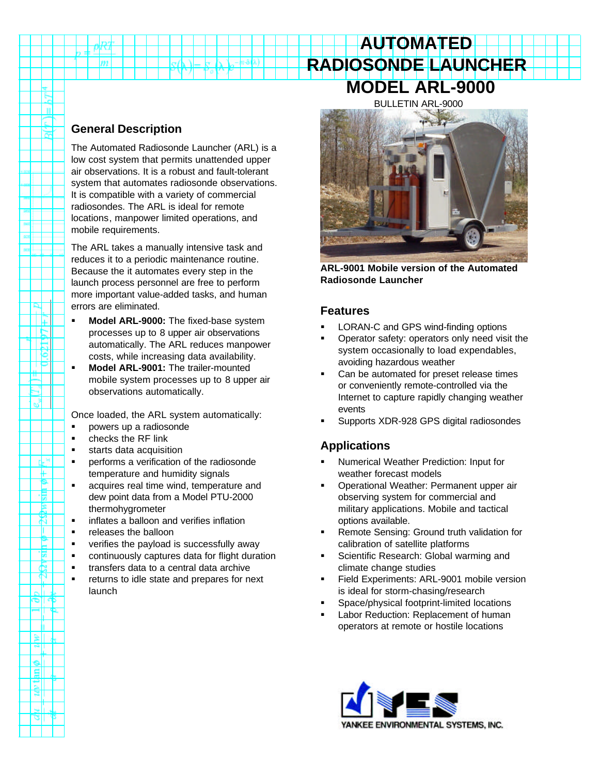# **RADIOSONDE LAUNCHER MODEL ARL-9000** BULLETIN ARL-9000

**AUTOMATED**

## **General Description**

m

n T

P ΠĘ - I ta ΠË Τ₿

> 4  $\mathbf{e}^*$

> > d-" ₩ P. 悽 B. ಸ т Ĕ '⊠ £.

∍∥ه

≋II ٣IJ

all τ

The Automated Radiosonde Launcher (ARL) is a low cost system that permits unattended upper air observations. It is a robust and fault-tolerant system that automates radiosonde observations. It is compatible with a variety of commercial radiosondes. The ARL is ideal for remote locations, manpower limited operations, and mobile requirements.

The ARL takes a manually intensive task and reduces it to a periodic maintenance routine. Because the it automates every step in the launch process personnel are free to perform more important value-added tasks, and human errors are eliminated.

- ß **Model ARL-9000:** The fixed-base system processes up to 8 upper air observations automatically. The ARL reduces manpower costs, while increasing data availability.
- **KIMOdel ARL-9001:** The trailer-mounted mobile system processes up to 8 upper air observations automatically.

Once loaded, the ARL system automatically:

- ß powers up a radiosonde
- $\blacksquare$  checks the RF link
- **starts data acquisition**
- **•** performs a verification of the radiosonde temperature and humidity signals
- **acquires real time wind, temperature and** dew point data from a Model PTU-2000 thermohygrometer
- **EXECUTE:** inflates a balloon and verifies inflation
- **•** releases the balloon
- **•** verifies the payload is successfully away
- ß continuously captures data for flight duration
- **•** transfers data to a central data archive
- **EXECUTE:** returns to idle state and prepares for next launch



**ARL-9001 Mobile version of the Automated Radiosonde Launcher**

## **Features**

- ß LORAN-C and GPS wind-finding options
- ß Operator safety: operators only need visit the system occasionally to load expendables, avoiding hazardous weather
- Can be automated for preset release times or conveniently remote-controlled via the Internet to capture rapidly changing weather events
- ß Supports XDR-928 GPS digital radiosondes

# **Applications**

- ß Numerical Weather Prediction: Input for weather forecast models
- ß Operational Weather: Permanent upper air observing system for commercial and military applications. Mobile and tactical options available.
- ß Remote Sensing: Ground truth validation for calibration of satellite platforms
- ß Scientific Research: Global warming and climate change studies
- ß Field Experiments: ARL-9001 mobile version is ideal for storm-chasing/research
- ß Space/physical footprint-limited locations
- **Example 2** Labor Reduction: Replacement of human operators at remote or hostile locations

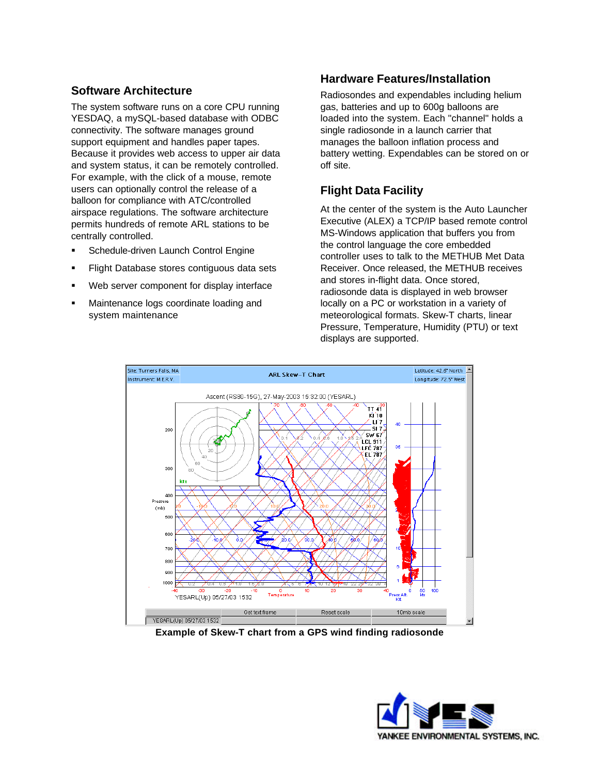## **Software Architecture**

The system software runs on a core CPU running YESDAQ, a mySQL-based database with ODBC connectivity. The software manages ground support equipment and handles paper tapes. Because it provides web access to upper air data and system status, it can be remotely controlled. For example, with the click of a mouse, remote users can optionally control the release of a balloon for compliance with ATC/controlled airspace regulations. The software architecture permits hundreds of remote ARL stations to be centrally controlled.

- ß Schedule-driven Launch Control Engine
- ß Flight Database stores contiguous data sets
- Web server component for display interface
- ß Maintenance logs coordinate loading and system maintenance

## **Hardware Features/Installation**

Radiosondes and expendables including helium gas, batteries and up to 600g balloons are loaded into the system. Each "channel" holds a single radiosonde in a launch carrier that manages the balloon inflation process and battery wetting. Expendables can be stored on or off site.

# **Flight Data Facility**

At the center of the system is the Auto Launcher Executive (ALEX) a TCP/IP based remote control MS-Windows application that buffers you from the control language the core embedded controller uses to talk to the METHUB Met Data Receiver. Once released, the METHUB receives and stores in-flight data. Once stored, radiosonde data is displayed in web browser locally on a PC or workstation in a variety of meteorological formats. Skew-T charts, linear Pressure, Temperature, Humidity (PTU) or text displays are supported.



**Example of Skew-T chart from a GPS wind finding radiosonde**

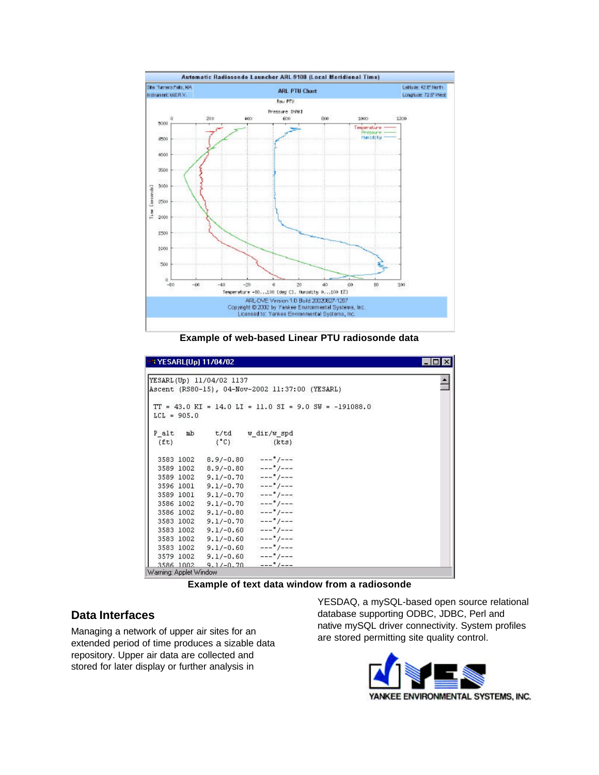

**Example of web-based Linear PTU radiosonde data**

| -3 YESARL(Up) 11/04/02<br>×<br>$-10$                                                    |                                     |  |
|-----------------------------------------------------------------------------------------|-------------------------------------|--|
|                                                                                         |                                     |  |
| YESARL(Up) 11/04/02 1137                                                                |                                     |  |
| Ascent (RS80-15), 04-Nov-2002 11:37:00 (YESARL)                                         |                                     |  |
|                                                                                         |                                     |  |
| $TT = 43.0 \text{ K}I = 14.0 \text{ L}I = 11.0 \text{ SI} = 9.0 \text{ SW} = -191088.0$ |                                     |  |
| $LCL = 905.0$                                                                           |                                     |  |
|                                                                                         |                                     |  |
| P alt<br>mb                                                                             | t/td w_dir/w_spd                    |  |
| $(^{\circ}C)$<br>(ft)                                                                   | (kts)                               |  |
|                                                                                         |                                     |  |
| 3583 1002                                                                               | $8.9/-0.80$ $---$ <sup>9</sup> /--- |  |
| $3589$ 1002 8.9/-0.80 ---"/---                                                          |                                     |  |
| 3589 1002 9.1/-0.70 ---"/---                                                            |                                     |  |
| $3596 1001 9.1/-0.70 ----$ "/---                                                        |                                     |  |
| 3589 1001 9.1/-0.70 ---"/---                                                            |                                     |  |
| $3586 1002 9.1/-0.70$ --- $*/-$ --                                                      |                                     |  |
| 3586 1002 9.1/-0.80 --- "/---                                                           |                                     |  |
| $3583$ 1002 9.1/-0.70 ---'/---                                                          |                                     |  |
| 3583 1002                                                                               | $9.1/-0.60$ $---$ <sup>9</sup> /--- |  |
| $3583$ 1002 9.1/-0.60 --- $*/-$ --                                                      |                                     |  |
| $3583$ 1002 9.1/-0.60 --- $\frac{9}{1}$ /---                                            |                                     |  |
| $3579$ 1002 9.1/-0.60 --- $*/-$ --                                                      |                                     |  |
| 3586 1002 9.17-0.70 $---$ <sup>9</sup> /---                                             |                                     |  |
| Warning: Applet Window                                                                  |                                     |  |



## **Data Interfaces**

Managing a network of upper air sites for an extended period of time produces a sizable data repository. Upper air data are collected and stored for later display or further analysis in

YESDAQ, a mySQL-based open source relational database supporting ODBC, JDBC, Perl and native mySQL driver connectivity. System profiles are stored permitting site quality control.

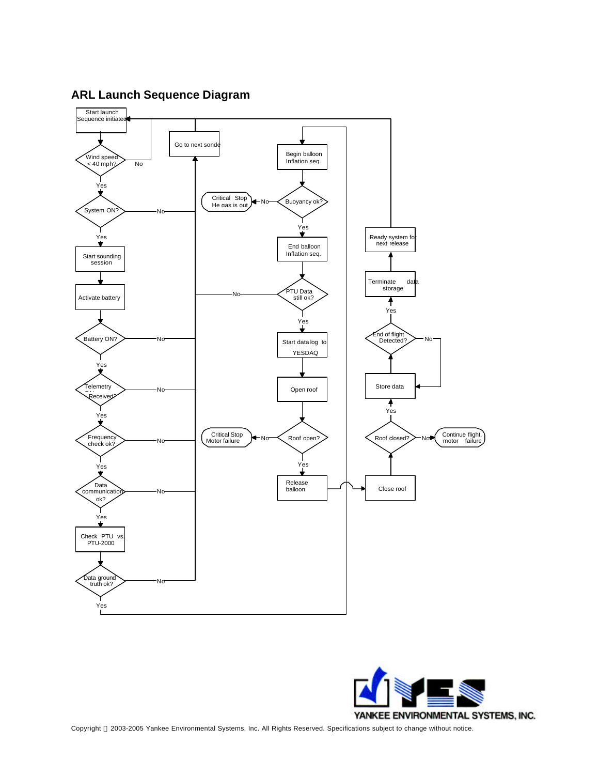

**ARL Launch Sequence Diagram**